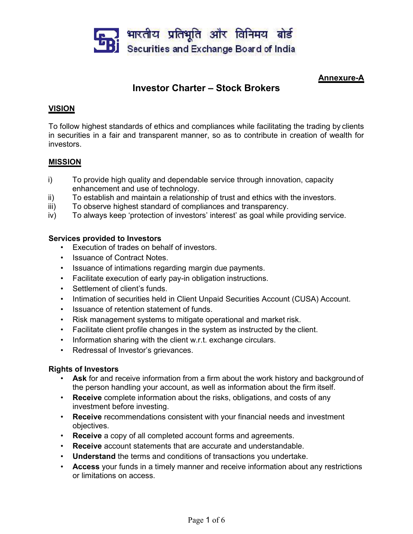

# **Annexure-A**

# **Investor Charter – Stock Brokers**

## **VISION**

To follow highest standards of ethics and compliances while facilitating the trading by clients in securities in a fair and transparent manner, so as to contribute in creation of wealth for investors.

#### **MISSION**

- i) To provide high quality and dependable service through innovation, capacity enhancement and use of technology.
- ii) To establish and maintain a relationship of trust and ethics with the investors.
- iii) To observe highest standard of compliances and transparency.
- iv) To always keep 'protection of investors' interest' as goal while providing service.

## **Services provided to Investors**

- Execution of trades on behalf of investors.
- Issuance of Contract Notes.
- Issuance of intimations regarding margin due payments.
- Facilitate execution of early pay-in obligation instructions.
- Settlement of client's funds.
- Intimation of securities held in Client Unpaid Securities Account (CUSA) Account.
- Issuance of retention statement of funds.
- Risk management systems to mitigate operational and market risk.
- Facilitate client profile changes in the system as instructed by the client.
- Information sharing with the client w.r.t. exchange circulars.
- Redressal of Investor's grievances.

#### **Rights of Investors**

- **Ask** for and receive information from a firm about the work history and background of the person handling your account, as well as information about the firm itself.
- **Receive** complete information about the risks, obligations, and costs of any investment before investing.
- **Receive** recommendations consistent with your financial needs and investment objectives.
- **Receive** a copy of all completed account forms and agreements.
- **Receive** account statements that are accurate and understandable.
- **Understand** the terms and conditions of transactions you undertake.
- **Access** your funds in a timely manner and receive information about any restrictions or limitations on access.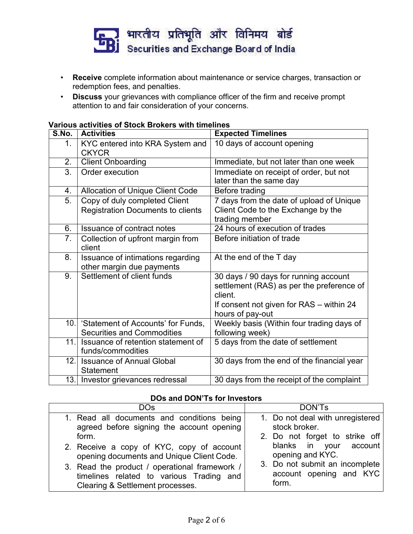

- **Receive** complete information about maintenance or service charges, transaction or redemption fees, and penalties.
- **Discuss** your grievances with compliance officer of the firm and receive prompt attention to and fair consideration of your concerns.

| Various activities of Stock Brokers with timelines |  |
|----------------------------------------------------|--|
|----------------------------------------------------|--|

| S.No.            | <b>Activities</b>                                                         | <b>Expected Timelines</b>                                                                                                                                     |
|------------------|---------------------------------------------------------------------------|---------------------------------------------------------------------------------------------------------------------------------------------------------------|
| 1.               | KYC entered into KRA System and<br><b>CKYCR</b>                           | 10 days of account opening                                                                                                                                    |
| 2.               | <b>Client Onboarding</b>                                                  | Immediate, but not later than one week                                                                                                                        |
| $\overline{3}$ . | Order execution                                                           | Immediate on receipt of order, but not<br>later than the same day                                                                                             |
| 4.               | Allocation of Unique Client Code                                          | Before trading                                                                                                                                                |
| 5.               | Copy of duly completed Client<br><b>Registration Documents to clients</b> | 7 days from the date of upload of Unique<br>Client Code to the Exchange by the<br>trading member                                                              |
| 6.               | Issuance of contract notes                                                | 24 hours of execution of trades                                                                                                                               |
| 7 <sub>1</sub>   | Collection of upfront margin from<br>client                               | Before initiation of trade                                                                                                                                    |
| 8.               | Issuance of intimations regarding<br>other margin due payments            | At the end of the T day                                                                                                                                       |
| 9.               | Settlement of client funds                                                | 30 days / 90 days for running account<br>settlement (RAS) as per the preference of<br>client.<br>If consent not given for RAS – within 24<br>hours of pay-out |
| 10.              | 'Statement of Accounts' for Funds,<br><b>Securities and Commodities</b>   | Weekly basis (Within four trading days of<br>following week)                                                                                                  |
| 11.              | Issuance of retention statement of<br>funds/commodities                   | 5 days from the date of settlement                                                                                                                            |
| 12.              | <b>Issuance of Annual Global</b><br><b>Statement</b>                      | 30 days from the end of the financial year                                                                                                                    |
|                  | 13. Investor grievances redressal                                         | 30 days from the receipt of the complaint                                                                                                                     |

# **DOs and DON'Ts for Investors**

| <b>DOs</b>                                    | DON'Ts                           |
|-----------------------------------------------|----------------------------------|
| 1. Read all documents and conditions being    | 1. Do not deal with unregistered |
| agreed before signing the account opening     | stock broker.                    |
| form.                                         | 2. Do not forget to strike off   |
| 2. Receive a copy of KYC, copy of account     | blanks in your account           |
| opening documents and Unique Client Code.     | opening and KYC.                 |
| 3. Read the product / operational framework / | 3. Do not submit an incomplete   |
| timelines related to various Trading and      | account opening and KYC          |
| Clearing & Settlement processes.              | form.                            |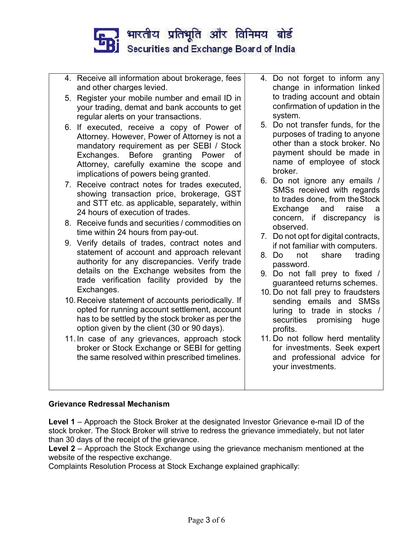

- 4. Receive all information about brokerage, fees and other charges levied.
- 5. Register your mobile number and email ID in your trading, demat and bank accounts to get regular alerts on your transactions.
- 6. If executed, receive a copy of Power of Attorney. However, Power of Attorney is not a mandatory requirement as per SEBI / Stock Exchanges. Before granting Power of Attorney, carefully examine the scope and implications of powers being granted.
- 7. Receive contract notes for trades executed, showing transaction price, brokerage, GST and STT etc. as applicable, separately, within **the contract of the State Corporation** Exchange and 24 hours of execution of trades.
- 8. Receive funds and securities / commodities on time within 24 hours from pay-out.
- 9. Verify details of trades, contract notes and statement of account and approach relevant  $\begin{bmatrix} 8 & 0 \end{bmatrix}$ authority for any discrepancies. Verify trade details on the Exchange websites from the trade verification facility provided by the Exchanges.
- 10. Receive statement of accounts periodically. If opted for running account settlement, account has to be settled by the stock broker as per the option given by the client (30 or 90 days).
- 11. In case of any grievances, approach stock broker or Stock Exchange or SEBI for getting the same resolved within prescribed timelines.
- 4. Do not forget to inform any change in information linked to trading account and obtain confirmation of updation in the system.
- 5. Do not transfer funds, for the purposes of trading to anyone other than a stock broker. No payment should be made in name of employee of stock broker.
- 6. Do not ignore any emails / SMSs received with regards to trades done, from the Stock<br>Exchange and raise a Exchange and raise a concern, if discrepancy is observed.
- 7. Do not opt for digital contracts, if not familiar with computers.
- not share trading password.
- 9. Do not fall prey to fixed / guaranteed returns schemes.
- 10. Do not fall prey to fraudsters sending emails and SMSs luring to trade in stocks / securities promising huge profits.
- 11. Do not follow herd mentality for investments. Seek expert and professional advice for your investments.

# **Grievance Redressal Mechanism**

**Level 1** – Approach the Stock Broker at the designated Investor Grievance e-mail ID of the stock broker. The Stock Broker will strive to redress the grievance immediately, but not later than 30 days of the receipt of the grievance.

**Level 2** – Approach the Stock Exchange using the grievance mechanism mentioned at the website of the respective exchange.

Complaints Resolution Process at Stock Exchange explained graphically: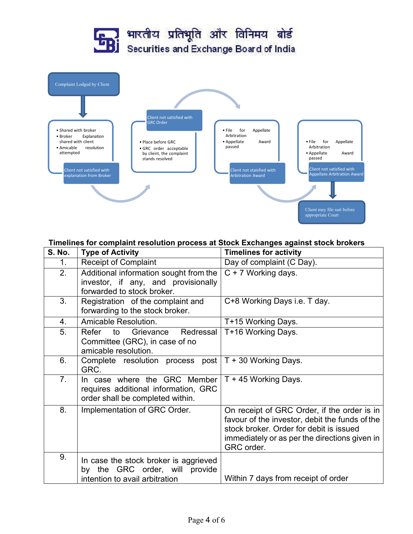

#### **Timelines for complaint resolution process atStock Exchanges against stock brokers**

| <b>S. No.</b>  | <b>Type of Activity</b>                                                                                     | <b>Timelines for activity</b>                                                                                                                                                                           |
|----------------|-------------------------------------------------------------------------------------------------------------|---------------------------------------------------------------------------------------------------------------------------------------------------------------------------------------------------------|
| 1.             | <b>Receipt of Complaint</b>                                                                                 | Day of complaint (C Day).                                                                                                                                                                               |
| 2.             | Additional information sought from the<br>investor, if any, and provisionally<br>forwarded to stock broker. | $C + 7$ Working days.                                                                                                                                                                                   |
| 3.             | Registration of the complaint and<br>forwarding to the stock broker.                                        | C+8 Working Days i.e. T day.                                                                                                                                                                            |
| 4.             | Amicable Resolution.                                                                                        | T+15 Working Days.                                                                                                                                                                                      |
| 5.             | Refer<br>to<br>Grievance<br>Redressal<br>Committee (GRC), in case of no<br>amicable resolution.             | T+16 Working Days.                                                                                                                                                                                      |
| 6.             | Complete resolution process post $ T + 30$ Working Days.<br>GRC.                                            |                                                                                                                                                                                                         |
| 7 <sub>1</sub> | In case where the GRC Member<br>requires additional information, GRC<br>order shall be completed within.    | T + 45 Working Days.                                                                                                                                                                                    |
| 8.             | Implementation of GRC Order.                                                                                | On receipt of GRC Order, if the order is in<br>favour of the investor, debit the funds of the<br>stock broker. Order for debit is issued<br>immediately or as per the directions given in<br>GRC order. |
| 9.             | In case the stock broker is aggrieved<br>by the GRC order, will provide<br>intention to avail arbitration   | Within 7 days from receipt of order                                                                                                                                                                     |